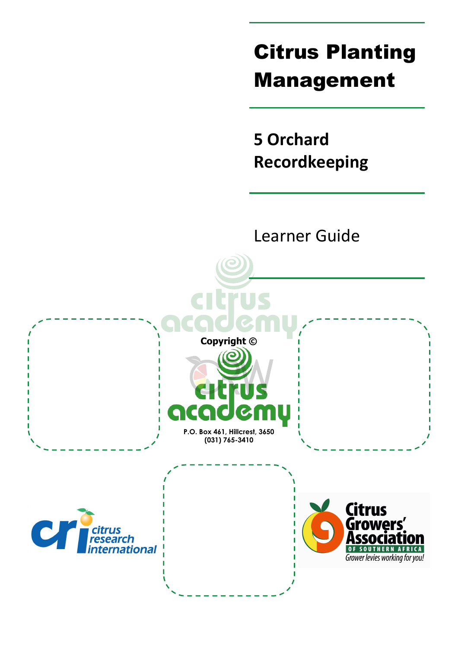# Citrus Planting Management

**5 Orchard Recordkeeping** 

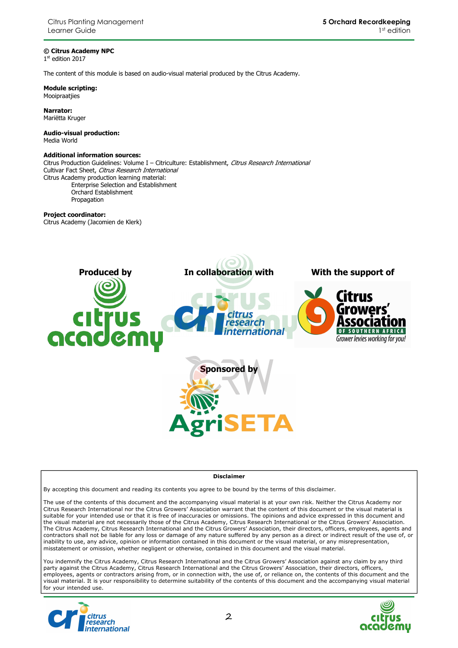#### **© Citrus Academy NPC**

1 st edition 2017

The content of this module is based on audio-visual material produced by the Citrus Academy.

**Module scripting:**  Mooipraatjies

**Narrator:**  Mariëtta Kruger

**Audio-visual production:**  Media World

#### **Additional information sources:**

Citrus Production Guidelines: Volume I - Citriculture: Establishment, Citrus Research International Cultivar Fact Sheet, Citrus Research International Citrus Academy production learning material: Enterprise Selection and Establishment Orchard Establishment

Propagation

### **Project coordinator:**

Citrus Academy (Jacomien de Klerk)



#### **Disclaimer**

By accepting this document and reading its contents you agree to be bound by the terms of this disclaimer.

The use of the contents of this document and the accompanying visual material is at your own risk. Neither the Citrus Academy nor Citrus Research International nor the Citrus Growers' Association warrant that the content of this document or the visual material is suitable for your intended use or that it is free of inaccuracies or omissions. The opinions and advice expressed in this document and the visual material are not necessarily those of the Citrus Academy, Citrus Research International or the Citrus Growers' Association. The Citrus Academy, Citrus Research International and the Citrus Growers' Association, their directors, officers, employees, agents and contractors shall not be liable for any loss or damage of any nature suffered by any person as a direct or indirect result of the use of, or inability to use, any advice, opinion or information contained in this document or the visual material, or any misrepresentation, misstatement or omission, whether negligent or otherwise, contained in this document and the visual material.

You indemnify the Citrus Academy, Citrus Research International and the Citrus Growers' Association against any claim by any third party against the Citrus Academy, Citrus Research International and the Citrus Growers' Association, their directors, officers, employees, agents or contractors arising from, or in connection with, the use of, or reliance on, the contents of this document and the visual material. It is your responsibility to determine suitability of the contents of this document and the accompanying visual material for your intended use.



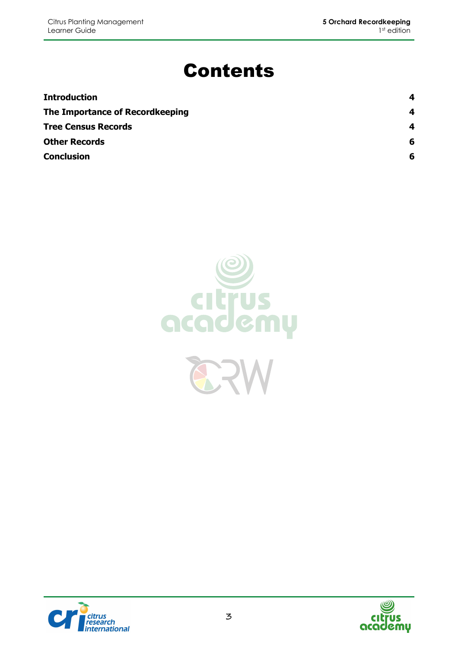## Contents

| <b>Introduction</b>             | 4 |
|---------------------------------|---|
| The Importance of Recordkeeping | 4 |
| <b>Tree Census Records</b>      | 4 |
| <b>Other Records</b>            | 6 |
| <b>Conclusion</b>               | 6 |





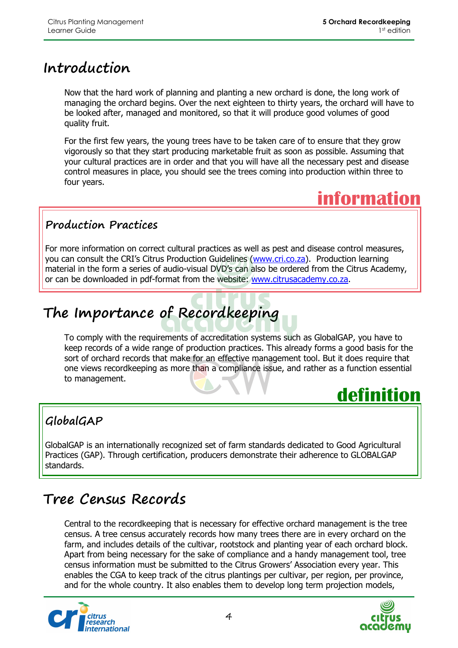## **Introduction**

Now that the hard work of planning and planting a new orchard is done, the long work of managing the orchard begins. Over the next eighteen to thirty years, the orchard will have to be looked after, managed and monitored, so that it will produce good volumes of good quality fruit.

For the first few years, the young trees have to be taken care of to ensure that they grow vigorously so that they start producing marketable fruit as soon as possible. Assuming that your cultural practices are in order and that you will have all the necessary pest and disease control measures in place, you should see the trees coming into production within three to four years.



### **Production Practices**

For more information on correct cultural practices as well as pest and disease control measures, you can consult the CRI's Citrus Production Guidelines (www.cri.co.za). Production learning material in the form a series of audio-visual DVD's can also be ordered from the Citrus Academy, or can be downloaded in pdf-format from the website: www.citrusacademy.co.za.

## **The Importance of Recordkeeping**

To comply with the requirements of accreditation systems such as GlobalGAP, you have to keep records of a wide range of production practices. This already forms a good basis for the sort of orchard records that make for an effective management tool. But it does require that one views recordkeeping as more than a compliance issue, and rather as a function essential to management.

## **definition**

### **GlobalGAP**

GlobalGAP is an internationally recognized set of farm standards dedicated to Good Agricultural Practices (GAP). Through certification, producers demonstrate their adherence to GLOBALGAP standards.

## **Tree Census Records**

Central to the recordkeeping that is necessary for effective orchard management is the tree census. A tree census accurately records how many trees there are in every orchard on the farm, and includes details of the cultivar, rootstock and planting year of each orchard block. Apart from being necessary for the sake of compliance and a handy management tool, tree census information must be submitted to the Citrus Growers' Association every year. This enables the CGA to keep track of the citrus plantings per cultivar, per region, per province, and for the whole country. It also enables them to develop long term projection models,



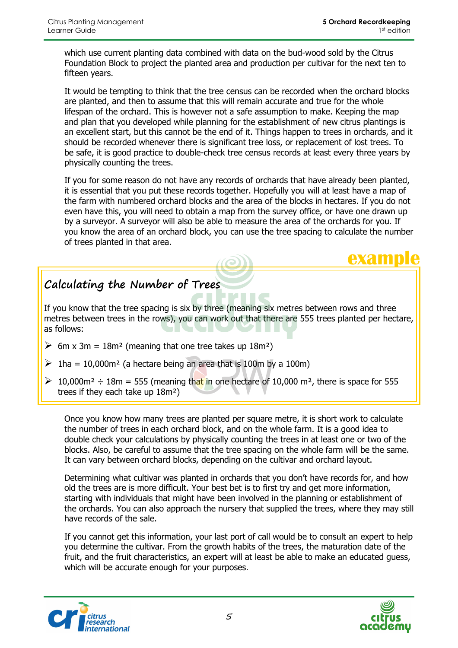**example**

which use current planting data combined with data on the bud-wood sold by the Citrus Foundation Block to project the planted area and production per cultivar for the next ten to fifteen years.

It would be tempting to think that the tree census can be recorded when the orchard blocks are planted, and then to assume that this will remain accurate and true for the whole lifespan of the orchard. This is however not a safe assumption to make. Keeping the map and plan that you developed while planning for the establishment of new citrus plantings is an excellent start, but this cannot be the end of it. Things happen to trees in orchards, and it should be recorded whenever there is significant tree loss, or replacement of lost trees. To be safe, it is good practice to double-check tree census records at least every three years by physically counting the trees.

If you for some reason do not have any records of orchards that have already been planted, it is essential that you put these records together. Hopefully you will at least have a map of the farm with numbered orchard blocks and the area of the blocks in hectares. If you do not even have this, you will need to obtain a map from the survey office, or have one drawn up by a surveyor. A surveyor will also be able to measure the area of the orchards for you. If you know the area of an orchard block, you can use the tree spacing to calculate the number of trees planted in that area.

### **Calculating the Number of Trees**

If you know that the tree spacing is six by three (meaning six metres between rows and three metres between trees in the rows), you can work out that there are 555 trees planted per hectare, as follows:

- $\triangleright$  6m x 3m = 18m<sup>2</sup> (meaning that one tree takes up 18m<sup>2</sup>)
- $\geq 1$ ha = 10,000m<sup>2</sup> (a hectare being an area that is 100m by a 100m)
- $\geq 10,000$  m<sup>2</sup> ÷ 18m = 555 (meaning that in one hectare of 10,000 m<sup>2</sup>, there is space for 555 trees if they each take up 18m²)

Once you know how many trees are planted per square metre, it is short work to calculate the number of trees in each orchard block, and on the whole farm. It is a good idea to double check your calculations by physically counting the trees in at least one or two of the blocks. Also, be careful to assume that the tree spacing on the whole farm will be the same. It can vary between orchard blocks, depending on the cultivar and orchard layout.

Determining what cultivar was planted in orchards that you don't have records for, and how old the trees are is more difficult. Your best bet is to first try and get more information, starting with individuals that might have been involved in the planning or establishment of the orchards. You can also approach the nursery that supplied the trees, where they may still have records of the sale.

If you cannot get this information, your last port of call would be to consult an expert to help you determine the cultivar. From the growth habits of the trees, the maturation date of the fruit, and the fruit characteristics, an expert will at least be able to make an educated guess, which will be accurate enough for your purposes.